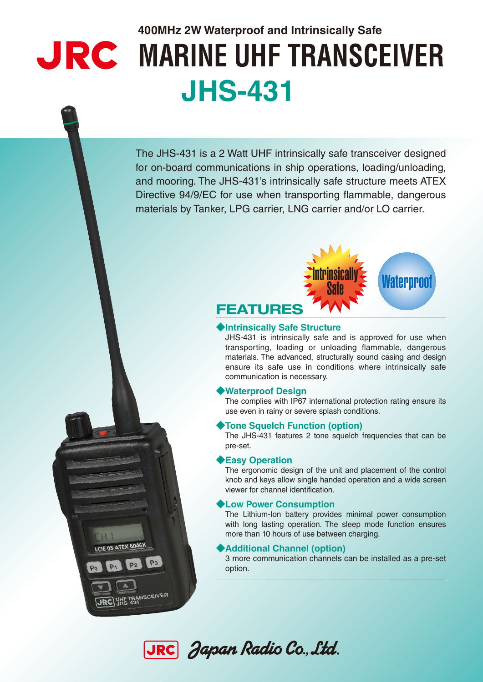# **400MHz 2W Waterproof and Intrinsically Safe WARINE UHF TRANSCEIVER JHS-431**

The JHS-431 is a 2 Watt UHF intrinsically safe transceiver designed for on-board communications in ship operations, loading/unloading, and mooring. The JHS-431's intrinsically safe structure meets ATEX Directive 94/9/EC for use when transporting flammable, dangerous materials by Tanker, LPG carrier, LNG carrier and/or LO carrier.



### ◆**Intrinsically Safe Structure**

JHS-431 is intrinsically safe and is approved for use when transporting, loading or unloading flammable, dangerous materials. The advanced, structurally sound casing and design ensure its safe use in conditions where intrinsically safe communication is necessary.

#### ◆**Waterproof Design**

The complies with IP67 international protection rating ensure its use even in rainy or severe splash conditions.

#### ◆**Tone Squelch Function (option)**

The JHS-431 features 2 tone squelch frequencies that can be pre-set.

#### ◆**Easy Operation**

The ergonomic design of the unit and placement of the control knob and keys allow single handed operation and a wide screen viewer for channel identification.

#### ◆**Low Power Consumption**

The Lithium-Ion battery provides minimal power consumption with long lasting operation. The sleep mode function ensures more than 10 hours of use between charging.

#### ◆**Additional Channel (option)**

3 more communication channels can be installed as a pre-set option.



**LCIE 05 ATEX 6046X** 

**JRC** WHE TRANSCEIVER